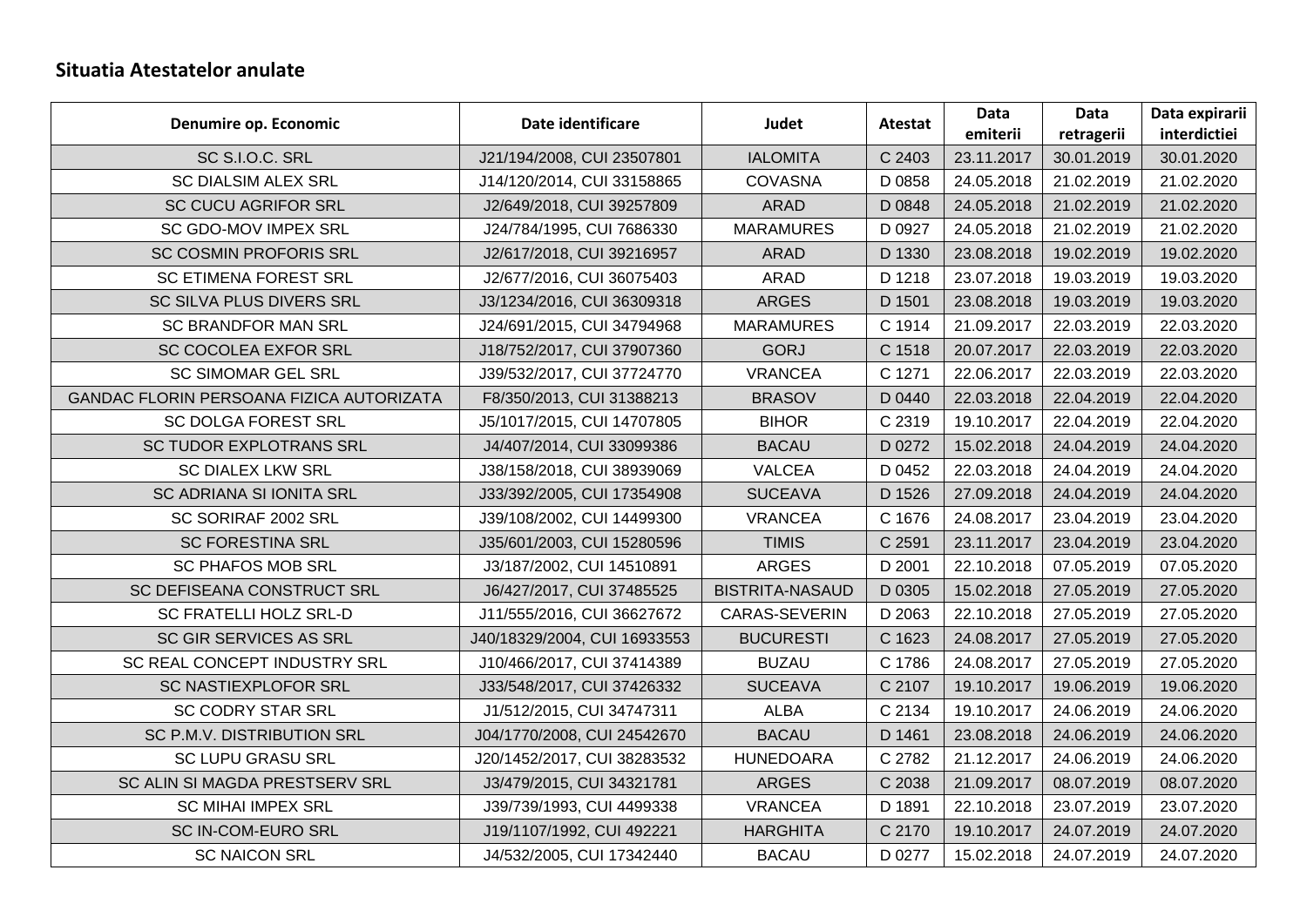## **Situatia Atestatelor anulate**

| Denumire op. Economic                    | Date identificare            | Judet                  | <b>Atestat</b> | Data       | Data       | Data expirarii |
|------------------------------------------|------------------------------|------------------------|----------------|------------|------------|----------------|
|                                          |                              |                        |                | emiterii   | retragerii | interdictiei   |
| SC S.I.O.C. SRL                          | J21/194/2008, CUI 23507801   | <b>IALOMITA</b>        | C 2403         | 23.11.2017 | 30.01.2019 | 30.01.2020     |
| <b>SC DIALSIM ALEX SRL</b>               | J14/120/2014, CUI 33158865   | <b>COVASNA</b>         | D 0858         | 24.05.2018 | 21.02.2019 | 21.02.2020     |
| <b>SC CUCU AGRIFOR SRL</b>               | J2/649/2018, CUI 39257809    | <b>ARAD</b>            | D 0848         | 24.05.2018 | 21.02.2019 | 21.02.2020     |
| SC GDO-MOV IMPEX SRL                     | J24/784/1995, CUI 7686330    | <b>MARAMURES</b>       | D 0927         | 24.05.2018 | 21.02.2019 | 21.02.2020     |
| SC COSMIN PROFORIS SRL                   | J2/617/2018, CUI 39216957    | <b>ARAD</b>            | D 1330         | 23.08.2018 | 19.02.2019 | 19.02.2020     |
| <b>SC ETIMENA FOREST SRL</b>             | J2/677/2016, CUI 36075403    | <b>ARAD</b>            | D 1218         | 23.07.2018 | 19.03.2019 | 19.03.2020     |
| SC SILVA PLUS DIVERS SRL                 | J3/1234/2016, CUI 36309318   | <b>ARGES</b>           | D 1501         | 23.08.2018 | 19.03.2019 | 19.03.2020     |
| <b>SC BRANDFOR MAN SRL</b>               | J24/691/2015, CUI 34794968   | <b>MARAMURES</b>       | C 1914         | 21.09.2017 | 22.03.2019 | 22.03.2020     |
| <b>SC COCOLEA EXFOR SRL</b>              | J18/752/2017, CUI 37907360   | <b>GORJ</b>            | C 1518         | 20.07.2017 | 22.03.2019 | 22.03.2020     |
| <b>SC SIMOMAR GEL SRL</b>                | J39/532/2017, CUI 37724770   | <b>VRANCEA</b>         | C 1271         | 22.06.2017 | 22.03.2019 | 22.03.2020     |
| GANDAC FLORIN PERSOANA FIZICA AUTORIZATA | F8/350/2013, CUI 31388213    | <b>BRASOV</b>          | D 0440         | 22.03.2018 | 22.04.2019 | 22.04.2020     |
| <b>SC DOLGA FOREST SRL</b>               | J5/1017/2015, CUI 14707805   | <b>BIHOR</b>           | C 2319         | 19.10.2017 | 22.04.2019 | 22.04.2020     |
| SC TUDOR EXPLOTRANS SRL                  | J4/407/2014, CUI 33099386    | <b>BACAU</b>           | D 0272         | 15.02.2018 | 24.04.2019 | 24.04.2020     |
| <b>SC DIALEX LKW SRL</b>                 | J38/158/2018, CUI 38939069   | <b>VALCEA</b>          | D 0452         | 22.03.2018 | 24.04.2019 | 24.04.2020     |
| SC ADRIANA SI IONITA SRL                 | J33/392/2005, CUI 17354908   | <b>SUCEAVA</b>         | D 1526         | 27.09.2018 | 24.04.2019 | 24.04.2020     |
| SC SORIRAF 2002 SRL                      | J39/108/2002, CUI 14499300   | <b>VRANCEA</b>         | C 1676         | 24.08.2017 | 23.04.2019 | 23.04.2020     |
| <b>SC FORESTINA SRL</b>                  | J35/601/2003, CUI 15280596   | <b>TIMIS</b>           | C 2591         | 23.11.2017 | 23.04.2019 | 23.04.2020     |
| <b>SC PHAFOS MOB SRL</b>                 | J3/187/2002, CUI 14510891    | <b>ARGES</b>           | D 2001         | 22.10.2018 | 07.05.2019 | 07.05.2020     |
| SC DEFISEANA CONSTRUCT SRL               | J6/427/2017, CUI 37485525    | <b>BISTRITA-NASAUD</b> | D 0305         | 15.02.2018 | 27.05.2019 | 27.05.2020     |
| <b>SC FRATELLI HOLZ SRL-D</b>            | J11/555/2016, CUI 36627672   | CARAS-SEVERIN          | D 2063         | 22.10.2018 | 27.05.2019 | 27.05.2020     |
| SC GIR SERVICES AS SRL                   | J40/18329/2004, CUI 16933553 | <b>BUCURESTI</b>       | C 1623         | 24.08.2017 | 27.05.2019 | 27.05.2020     |
| SC REAL CONCEPT INDUSTRY SRL             | J10/466/2017, CUI 37414389   | <b>BUZAU</b>           | C 1786         | 24.08.2017 | 27.05.2019 | 27.05.2020     |
| SC NASTIEXPLOFOR SRL                     | J33/548/2017, CUI 37426332   | <b>SUCEAVA</b>         | C 2107         | 19.10.2017 | 19.06.2019 | 19.06.2020     |
| <b>SC CODRY STAR SRL</b>                 | J1/512/2015, CUI 34747311    | <b>ALBA</b>            | C 2134         | 19.10.2017 | 24.06.2019 | 24.06.2020     |
| SC P.M.V. DISTRIBUTION SRL               | J04/1770/2008, CUI 24542670  | <b>BACAU</b>           | D 1461         | 23.08.2018 | 24.06.2019 | 24.06.2020     |
| <b>SC LUPU GRASU SRL</b>                 | J20/1452/2017, CUI 38283532  | <b>HUNEDOARA</b>       | C 2782         | 21.12.2017 | 24.06.2019 | 24.06.2020     |
| SC ALIN SI MAGDA PRESTSERV SRL           | J3/479/2015, CUI 34321781    | <b>ARGES</b>           | C 2038         | 21.09.2017 | 08.07.2019 | 08.07.2020     |
| <b>SC MIHAI IMPEX SRL</b>                | J39/739/1993, CUI 4499338    | <b>VRANCEA</b>         | D 1891         | 22.10.2018 | 23.07.2019 | 23.07.2020     |
| SC IN-COM-EURO SRL                       | J19/1107/1992, CUI 492221    | <b>HARGHITA</b>        | C 2170         | 19.10.2017 | 24.07.2019 | 24.07.2020     |
| <b>SC NAICON SRL</b>                     | J4/532/2005, CUI 17342440    | <b>BACAU</b>           | D 0277         | 15.02.2018 | 24.07.2019 | 24.07.2020     |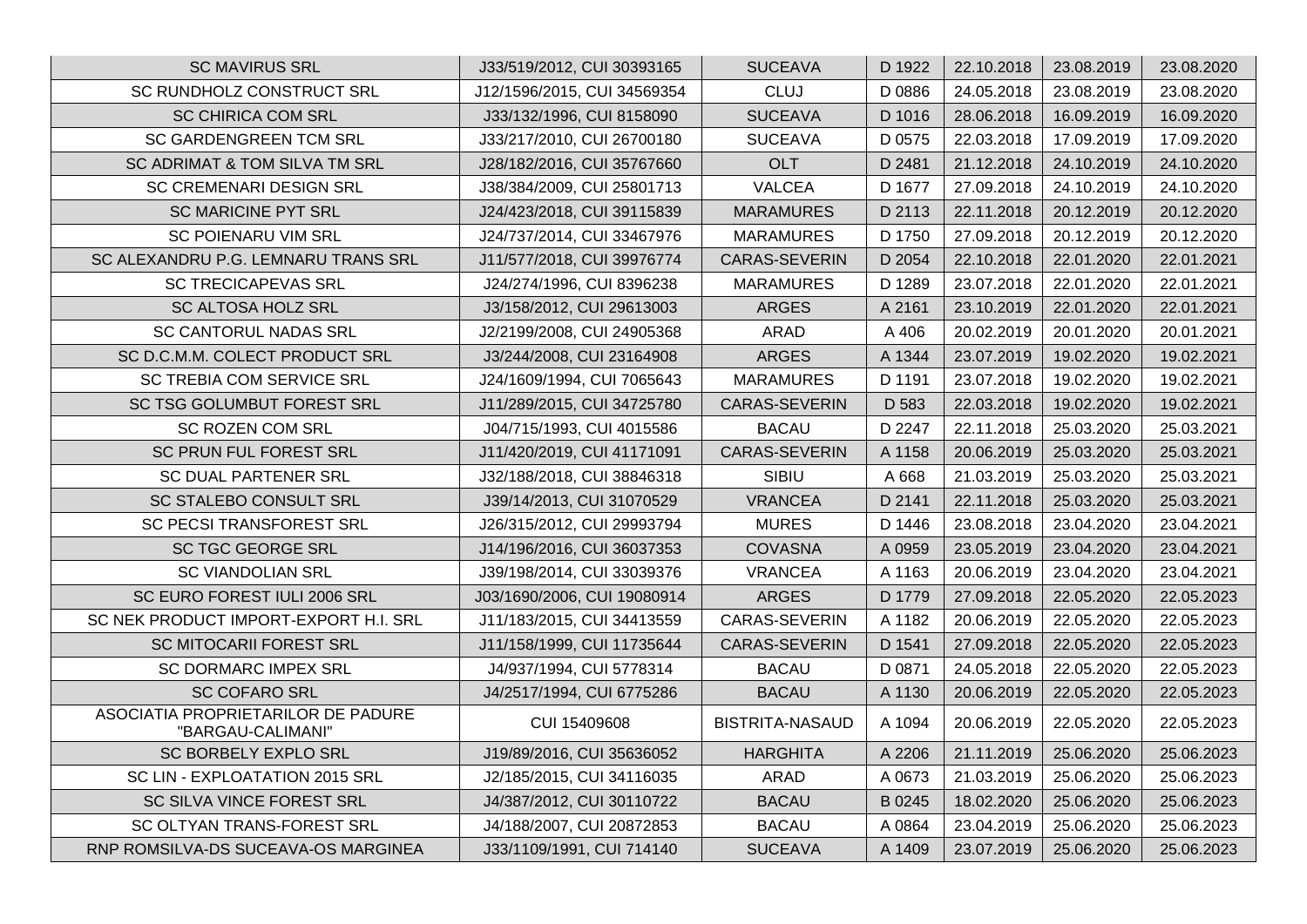| <b>SC MAVIRUS SRL</b>                                   | J33/519/2012, CUI 30393165  | <b>SUCEAVA</b>         | D 1922 | 22.10.2018 | 23.08.2019 | 23.08.2020 |
|---------------------------------------------------------|-----------------------------|------------------------|--------|------------|------------|------------|
| SC RUNDHOLZ CONSTRUCT SRL                               | J12/1596/2015, CUI 34569354 | <b>CLUJ</b>            | D 0886 | 24.05.2018 | 23.08.2019 | 23.08.2020 |
| <b>SC CHIRICA COM SRL</b>                               | J33/132/1996, CUI 8158090   | <b>SUCEAVA</b>         | D 1016 | 28.06.2018 | 16.09.2019 | 16.09.2020 |
| <b>SC GARDENGREEN TCM SRL</b>                           | J33/217/2010, CUI 26700180  | <b>SUCEAVA</b>         | D 0575 | 22.03.2018 | 17.09.2019 | 17.09.2020 |
| SC ADRIMAT & TOM SILVA TM SRL                           | J28/182/2016, CUI 35767660  | <b>OLT</b>             | D 2481 | 21.12.2018 | 24.10.2019 | 24.10.2020 |
| SC CREMENARI DESIGN SRL                                 | J38/384/2009, CUI 25801713  | <b>VALCEA</b>          | D 1677 | 27.09.2018 | 24.10.2019 | 24.10.2020 |
| <b>SC MARICINE PYT SRL</b>                              | J24/423/2018, CUI 39115839  | <b>MARAMURES</b>       | D 2113 | 22.11.2018 | 20.12.2019 | 20.12.2020 |
| <b>SC POIENARU VIM SRL</b>                              | J24/737/2014, CUI 33467976  | <b>MARAMURES</b>       | D 1750 | 27.09.2018 | 20.12.2019 | 20.12.2020 |
| SC ALEXANDRU P.G. LEMNARU TRANS SRL                     | J11/577/2018, CUI 39976774  | CARAS-SEVERIN          | D 2054 | 22.10.2018 | 22.01.2020 | 22.01.2021 |
| <b>SC TRECICAPEVAS SRL</b>                              | J24/274/1996, CUI 8396238   | <b>MARAMURES</b>       | D 1289 | 23.07.2018 | 22.01.2020 | 22.01.2021 |
| SC ALTOSA HOLZ SRL                                      | J3/158/2012, CUI 29613003   | <b>ARGES</b>           | A 2161 | 23.10.2019 | 22.01.2020 | 22.01.2021 |
| <b>SC CANTORUL NADAS SRL</b>                            | J2/2199/2008, CUI 24905368  | ARAD                   | A 406  | 20.02.2019 | 20.01.2020 | 20.01.2021 |
| SC D.C.M.M. COLECT PRODUCT SRL                          | J3/244/2008, CUI 23164908   | <b>ARGES</b>           | A 1344 | 23.07.2019 | 19.02.2020 | 19.02.2021 |
| SC TREBIA COM SERVICE SRL                               | J24/1609/1994, CUI 7065643  | <b>MARAMURES</b>       | D 1191 | 23.07.2018 | 19.02.2020 | 19.02.2021 |
| SC TSG GOLUMBUT FOREST SRL                              | J11/289/2015, CUI 34725780  | CARAS-SEVERIN          | D 583  | 22.03.2018 | 19.02.2020 | 19.02.2021 |
| <b>SC ROZEN COM SRL</b>                                 | J04/715/1993, CUI 4015586   | <b>BACAU</b>           | D 2247 | 22.11.2018 | 25.03.2020 | 25.03.2021 |
| SC PRUN FUL FOREST SRL                                  | J11/420/2019, CUI 41171091  | CARAS-SEVERIN          | A 1158 | 20.06.2019 | 25.03.2020 | 25.03.2021 |
| <b>SC DUAL PARTENER SRL</b>                             | J32/188/2018, CUI 38846318  | SIBIU                  | A 668  | 21.03.2019 | 25.03.2020 | 25.03.2021 |
| SC STALEBO CONSULT SRL                                  | J39/14/2013, CUI 31070529   | <b>VRANCEA</b>         | D 2141 | 22.11.2018 | 25.03.2020 | 25.03.2021 |
| SC PECSI TRANSFOREST SRL                                | J26/315/2012, CUI 29993794  | <b>MURES</b>           | D 1446 | 23.08.2018 | 23.04.2020 | 23.04.2021 |
| <b>SC TGC GEORGE SRL</b>                                | J14/196/2016, CUI 36037353  | <b>COVASNA</b>         | A 0959 | 23.05.2019 | 23.04.2020 | 23.04.2021 |
| <b>SC VIANDOLIAN SRL</b>                                | J39/198/2014, CUI 33039376  | <b>VRANCEA</b>         | A 1163 | 20.06.2019 | 23.04.2020 | 23.04.2021 |
| SC EURO FOREST IULI 2006 SRL                            | J03/1690/2006, CUI 19080914 | <b>ARGES</b>           | D 1779 | 27.09.2018 | 22.05.2020 | 22.05.2023 |
| SC NEK PRODUCT IMPORT-EXPORT H.I. SRL                   | J11/183/2015, CUI 34413559  | CARAS-SEVERIN          | A 1182 | 20.06.2019 | 22.05.2020 | 22.05.2023 |
| <b>SC MITOCARII FOREST SRL</b>                          | J11/158/1999, CUI 11735644  | CARAS-SEVERIN          | D 1541 | 27.09.2018 | 22.05.2020 | 22.05.2023 |
| SC DORMARC IMPEX SRL                                    | J4/937/1994, CUI 5778314    | <b>BACAU</b>           | D 0871 | 24.05.2018 | 22.05.2020 | 22.05.2023 |
| <b>SC COFARO SRL</b>                                    | J4/2517/1994, CUI 6775286   | <b>BACAU</b>           | A 1130 | 20.06.2019 | 22.05.2020 | 22.05.2023 |
| ASOCIATIA PROPRIETARILOR DE PADURE<br>"BARGAU-CALIMANI" | CUI 15409608                | <b>BISTRITA-NASAUD</b> | A 1094 | 20.06.2019 | 22.05.2020 | 22.05.2023 |
| SC BORBELY EXPLO SRL                                    | J19/89/2016, CUI 35636052   | <b>HARGHITA</b>        | A 2206 | 21.11.2019 | 25.06.2020 | 25.06.2023 |
| SC LIN - EXPLOATATION 2015 SRL                          | J2/185/2015, CUI 34116035   | ARAD                   | A 0673 | 21.03.2019 | 25.06.2020 | 25.06.2023 |
| SC SILVA VINCE FOREST SRL                               | J4/387/2012, CUI 30110722   | <b>BACAU</b>           | B 0245 | 18.02.2020 | 25.06.2020 | 25.06.2023 |
| SC OLTYAN TRANS-FOREST SRL                              | J4/188/2007, CUI 20872853   | <b>BACAU</b>           | A 0864 | 23.04.2019 | 25.06.2020 | 25.06.2023 |
| RNP ROMSILVA-DS SUCEAVA-OS MARGINEA                     | J33/1109/1991, CUI 714140   | <b>SUCEAVA</b>         | A 1409 | 23.07.2019 | 25.06.2020 | 25.06.2023 |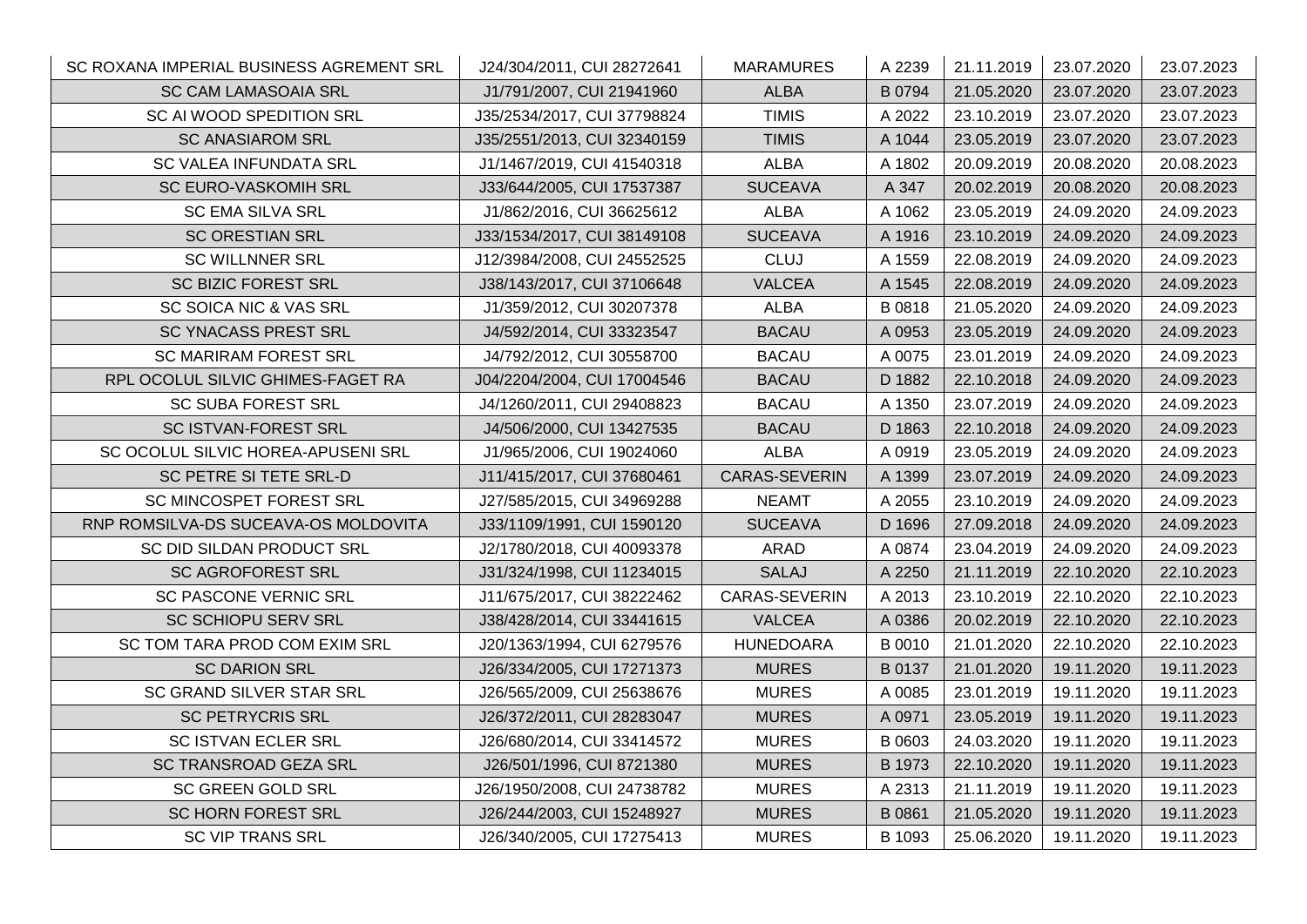| SC ROXANA IMPERIAL BUSINESS AGREMENT SRL | J24/304/2011, CUI 28272641  | <b>MARAMURES</b> | A 2239 | 21.11.2019 | 23.07.2020 | 23.07.2023 |
|------------------------------------------|-----------------------------|------------------|--------|------------|------------|------------|
| <b>SC CAM LAMASOAIA SRL</b>              | J1/791/2007, CUI 21941960   | <b>ALBA</b>      | B 0794 | 21.05.2020 | 23.07.2020 | 23.07.2023 |
| SC AI WOOD SPEDITION SRL                 | J35/2534/2017, CUI 37798824 | <b>TIMIS</b>     | A 2022 | 23.10.2019 | 23.07.2020 | 23.07.2023 |
| <b>SC ANASIAROM SRL</b>                  | J35/2551/2013, CUI 32340159 | <b>TIMIS</b>     | A 1044 | 23.05.2019 | 23.07.2020 | 23.07.2023 |
| SC VALEA INFUNDATA SRL                   | J1/1467/2019, CUI 41540318  | ALBA             | A 1802 | 20.09.2019 | 20.08.2020 | 20.08.2023 |
| SC EURO-VASKOMIH SRL                     | J33/644/2005, CUI 17537387  | <b>SUCEAVA</b>   | A 347  | 20.02.2019 | 20.08.2020 | 20.08.2023 |
| <b>SC EMA SILVA SRL</b>                  | J1/862/2016, CUI 36625612   | <b>ALBA</b>      | A 1062 | 23.05.2019 | 24.09.2020 | 24.09.2023 |
| <b>SC ORESTIAN SRL</b>                   | J33/1534/2017, CUI 38149108 | <b>SUCEAVA</b>   | A 1916 | 23.10.2019 | 24.09.2020 | 24.09.2023 |
| <b>SC WILLNNER SRL</b>                   | J12/3984/2008, CUI 24552525 | <b>CLUJ</b>      | A 1559 | 22.08.2019 | 24.09.2020 | 24.09.2023 |
| <b>SC BIZIC FOREST SRL</b>               | J38/143/2017, CUI 37106648  | <b>VALCEA</b>    | A 1545 | 22.08.2019 | 24.09.2020 | 24.09.2023 |
| SC SOICA NIC & VAS SRL                   | J1/359/2012, CUI 30207378   | <b>ALBA</b>      | B 0818 | 21.05.2020 | 24.09.2020 | 24.09.2023 |
| <b>SC YNACASS PREST SRL</b>              | J4/592/2014, CUI 33323547   | <b>BACAU</b>     | A 0953 | 23.05.2019 | 24.09.2020 | 24.09.2023 |
| <b>SC MARIRAM FOREST SRL</b>             | J4/792/2012, CUI 30558700   | <b>BACAU</b>     | A 0075 | 23.01.2019 | 24.09.2020 | 24.09.2023 |
| RPL OCOLUL SILVIC GHIMES-FAGET RA        | J04/2204/2004, CUI 17004546 | <b>BACAU</b>     | D 1882 | 22.10.2018 | 24.09.2020 | 24.09.2023 |
| <b>SC SUBA FOREST SRL</b>                | J4/1260/2011, CUI 29408823  | <b>BACAU</b>     | A 1350 | 23.07.2019 | 24.09.2020 | 24.09.2023 |
| SC ISTVAN-FOREST SRL                     | J4/506/2000, CUI 13427535   | <b>BACAU</b>     | D 1863 | 22.10.2018 | 24.09.2020 | 24.09.2023 |
| SC OCOLUL SILVIC HOREA-APUSENI SRL       | J1/965/2006, CUI 19024060   | <b>ALBA</b>      | A 0919 | 23.05.2019 | 24.09.2020 | 24.09.2023 |
| SC PETRE SI TETE SRL-D                   | J11/415/2017, CUI 37680461  | CARAS-SEVERIN    | A 1399 | 23.07.2019 | 24.09.2020 | 24.09.2023 |
| SC MINCOSPET FOREST SRL                  | J27/585/2015, CUI 34969288  | <b>NEAMT</b>     | A 2055 | 23.10.2019 | 24.09.2020 | 24.09.2023 |
| RNP ROMSILVA-DS SUCEAVA-OS MOLDOVITA     | J33/1109/1991, CUI 1590120  | <b>SUCEAVA</b>   | D 1696 | 27.09.2018 | 24.09.2020 | 24.09.2023 |
| SC DID SILDAN PRODUCT SRL                | J2/1780/2018, CUI 40093378  | ARAD             | A 0874 | 23.04.2019 | 24.09.2020 | 24.09.2023 |
| <b>SC AGROFOREST SRL</b>                 | J31/324/1998, CUI 11234015  | <b>SALAJ</b>     | A 2250 | 21.11.2019 | 22.10.2020 | 22.10.2023 |
| SC PASCONE VERNIC SRL                    | J11/675/2017, CUI 38222462  | CARAS-SEVERIN    | A 2013 | 23.10.2019 | 22.10.2020 | 22.10.2023 |
| <b>SC SCHIOPU SERV SRL</b>               | J38/428/2014, CUI 33441615  | <b>VALCEA</b>    | A 0386 | 20.02.2019 | 22.10.2020 | 22.10.2023 |
| SC TOM TARA PROD COM EXIM SRL            | J20/1363/1994, CUI 6279576  | <b>HUNEDOARA</b> | B 0010 | 21.01.2020 | 22.10.2020 | 22.10.2023 |
| <b>SC DARION SRL</b>                     | J26/334/2005, CUI 17271373  | <b>MURES</b>     | B 0137 | 21.01.2020 | 19.11.2020 | 19.11.2023 |
| SC GRAND SILVER STAR SRL                 | J26/565/2009, CUI 25638676  | <b>MURES</b>     | A 0085 | 23.01.2019 | 19.11.2020 | 19.11.2023 |
| <b>SC PETRYCRIS SRL</b>                  | J26/372/2011, CUI 28283047  | <b>MURES</b>     | A 0971 | 23.05.2019 | 19.11.2020 | 19.11.2023 |
| <b>SC ISTVAN ECLER SRL</b>               | J26/680/2014, CUI 33414572  | <b>MURES</b>     | B 0603 | 24.03.2020 | 19.11.2020 | 19.11.2023 |
| SC TRANSROAD GEZA SRL                    | J26/501/1996, CUI 8721380   | <b>MURES</b>     | B 1973 | 22.10.2020 | 19.11.2020 | 19.11.2023 |
| SC GREEN GOLD SRL                        | J26/1950/2008, CUI 24738782 | <b>MURES</b>     | A 2313 | 21.11.2019 | 19.11.2020 | 19.11.2023 |
| SC HORN FOREST SRL                       | J26/244/2003, CUI 15248927  | <b>MURES</b>     | B 0861 | 21.05.2020 | 19.11.2020 | 19.11.2023 |
| <b>SC VIP TRANS SRL</b>                  | J26/340/2005, CUI 17275413  | <b>MURES</b>     | B 1093 | 25.06.2020 | 19.11.2020 | 19.11.2023 |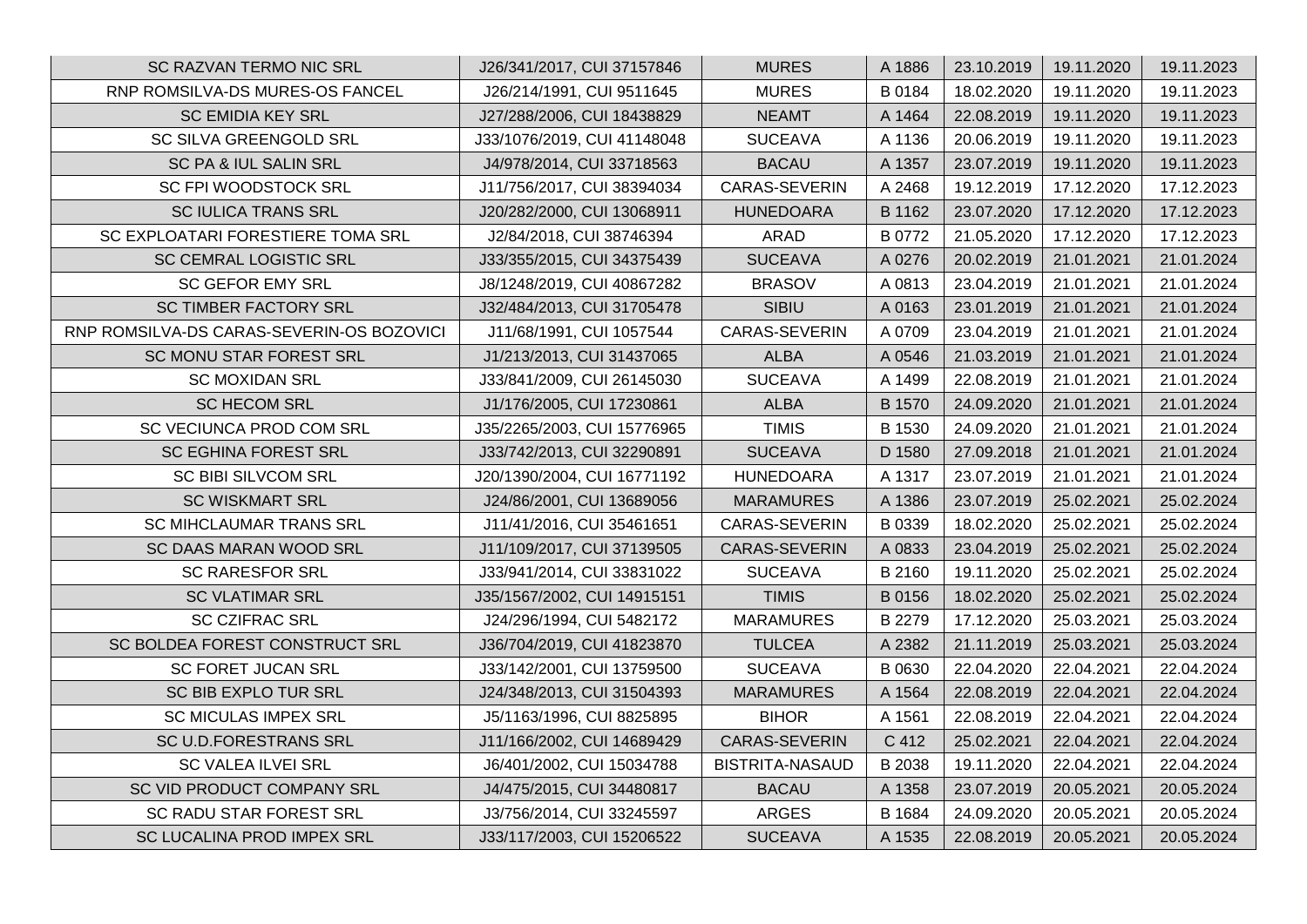| SC RAZVAN TERMO NIC SRL                   | J26/341/2017, CUI 37157846  | <b>MURES</b>           | A 1886 | 23.10.2019 | 19.11.2020 | 19.11.2023 |
|-------------------------------------------|-----------------------------|------------------------|--------|------------|------------|------------|
| RNP ROMSILVA-DS MURES-OS FANCEL           | J26/214/1991, CUI 9511645   | <b>MURES</b>           | B 0184 | 18.02.2020 | 19.11.2020 | 19.11.2023 |
| <b>SC EMIDIA KEY SRL</b>                  | J27/288/2006, CUI 18438829  | <b>NEAMT</b>           | A 1464 | 22.08.2019 | 19.11.2020 | 19.11.2023 |
| SC SILVA GREENGOLD SRL                    | J33/1076/2019, CUI 41148048 | <b>SUCEAVA</b>         | A 1136 | 20.06.2019 | 19.11.2020 | 19.11.2023 |
| SC PA & IUL SALIN SRL                     | J4/978/2014, CUI 33718563   | <b>BACAU</b>           | A 1357 | 23.07.2019 | 19.11.2020 | 19.11.2023 |
| SC FPI WOODSTOCK SRL                      | J11/756/2017, CUI 38394034  | CARAS-SEVERIN          | A 2468 | 19.12.2019 | 17.12.2020 | 17.12.2023 |
| SC IULICA TRANS SRL                       | J20/282/2000, CUI 13068911  | <b>HUNEDOARA</b>       | B 1162 | 23.07.2020 | 17.12.2020 | 17.12.2023 |
| SC EXPLOATARI FORESTIERE TOMA SRL         | J2/84/2018, CUI 38746394    | <b>ARAD</b>            | B 0772 | 21.05.2020 | 17.12.2020 | 17.12.2023 |
| <b>SC CEMRAL LOGISTIC SRL</b>             | J33/355/2015, CUI 34375439  | <b>SUCEAVA</b>         | A 0276 | 20.02.2019 | 21.01.2021 | 21.01.2024 |
| <b>SC GEFOR EMY SRL</b>                   | J8/1248/2019, CUI 40867282  | <b>BRASOV</b>          | A 0813 | 23.04.2019 | 21.01.2021 | 21.01.2024 |
| SC TIMBER FACTORY SRL                     | J32/484/2013, CUI 31705478  | <b>SIBIU</b>           | A 0163 | 23.01.2019 | 21.01.2021 | 21.01.2024 |
| RNP ROMSILVA-DS CARAS-SEVERIN-OS BOZOVICI | J11/68/1991, CUI 1057544    | <b>CARAS-SEVERIN</b>   | A 0709 | 23.04.2019 | 21.01.2021 | 21.01.2024 |
| SC MONU STAR FOREST SRL                   | J1/213/2013, CUI 31437065   | <b>ALBA</b>            | A 0546 | 21.03.2019 | 21.01.2021 | 21.01.2024 |
| <b>SC MOXIDAN SRL</b>                     | J33/841/2009, CUI 26145030  | <b>SUCEAVA</b>         | A 1499 | 22.08.2019 | 21.01.2021 | 21.01.2024 |
| <b>SC HECOM SRL</b>                       | J1/176/2005, CUI 17230861   | <b>ALBA</b>            | B 1570 | 24.09.2020 | 21.01.2021 | 21.01.2024 |
| SC VECIUNCA PROD COM SRL                  | J35/2265/2003, CUI 15776965 | <b>TIMIS</b>           | B 1530 | 24.09.2020 | 21.01.2021 | 21.01.2024 |
| <b>SC EGHINA FOREST SRL</b>               | J33/742/2013, CUI 32290891  | <b>SUCEAVA</b>         | D 1580 | 27.09.2018 | 21.01.2021 | 21.01.2024 |
| SC BIBI SILVCOM SRL                       | J20/1390/2004, CUI 16771192 | <b>HUNEDOARA</b>       | A 1317 | 23.07.2019 | 21.01.2021 | 21.01.2024 |
| <b>SC WISKMART SRL</b>                    | J24/86/2001, CUI 13689056   | <b>MARAMURES</b>       | A 1386 | 23.07.2019 | 25.02.2021 | 25.02.2024 |
| <b>SC MIHCLAUMAR TRANS SRL</b>            | J11/41/2016, CUI 35461651   | CARAS-SEVERIN          | B 0339 | 18.02.2020 | 25.02.2021 | 25.02.2024 |
| SC DAAS MARAN WOOD SRL                    | J11/109/2017, CUI 37139505  | <b>CARAS-SEVERIN</b>   | A 0833 | 23.04.2019 | 25.02.2021 | 25.02.2024 |
| <b>SC RARESFOR SRL</b>                    | J33/941/2014, CUI 33831022  | <b>SUCEAVA</b>         | B 2160 | 19.11.2020 | 25.02.2021 | 25.02.2024 |
| <b>SC VLATIMAR SRL</b>                    | J35/1567/2002, CUI 14915151 | <b>TIMIS</b>           | B 0156 | 18.02.2020 | 25.02.2021 | 25.02.2024 |
| <b>SC CZIFRAC SRL</b>                     | J24/296/1994, CUI 5482172   | <b>MARAMURES</b>       | B 2279 | 17.12.2020 | 25.03.2021 | 25.03.2024 |
| SC BOLDEA FOREST CONSTRUCT SRL            | J36/704/2019, CUI 41823870  | <b>TULCEA</b>          | A 2382 | 21.11.2019 | 25.03.2021 | 25.03.2024 |
| <b>SC FORET JUCAN SRL</b>                 | J33/142/2001, CUI 13759500  | <b>SUCEAVA</b>         | B 0630 | 22.04.2020 | 22.04.2021 | 22.04.2024 |
| SC BIB EXPLO TUR SRL                      | J24/348/2013, CUI 31504393  | <b>MARAMURES</b>       | A 1564 | 22.08.2019 | 22.04.2021 | 22.04.2024 |
| <b>SC MICULAS IMPEX SRL</b>               | J5/1163/1996, CUI 8825895   | <b>BIHOR</b>           | A 1561 | 22.08.2019 | 22.04.2021 | 22.04.2024 |
| SC U.D.FORESTRANS SRL                     | J11/166/2002, CUI 14689429  | <b>CARAS-SEVERIN</b>   | C 412  | 25.02.2021 | 22.04.2021 | 22.04.2024 |
| <b>SC VALEA ILVEI SRL</b>                 | J6/401/2002, CUI 15034788   | <b>BISTRITA-NASAUD</b> | B 2038 | 19.11.2020 | 22.04.2021 | 22.04.2024 |
| SC VID PRODUCT COMPANY SRL                | J4/475/2015, CUI 34480817   | <b>BACAU</b>           | A 1358 | 23.07.2019 | 20.05.2021 | 20.05.2024 |
| SC RADU STAR FOREST SRL                   | J3/756/2014, CUI 33245597   | <b>ARGES</b>           | B 1684 | 24.09.2020 | 20.05.2021 | 20.05.2024 |
| SC LUCALINA PROD IMPEX SRL                | J33/117/2003, CUI 15206522  | <b>SUCEAVA</b>         | A 1535 | 22.08.2019 | 20.05.2021 | 20.05.2024 |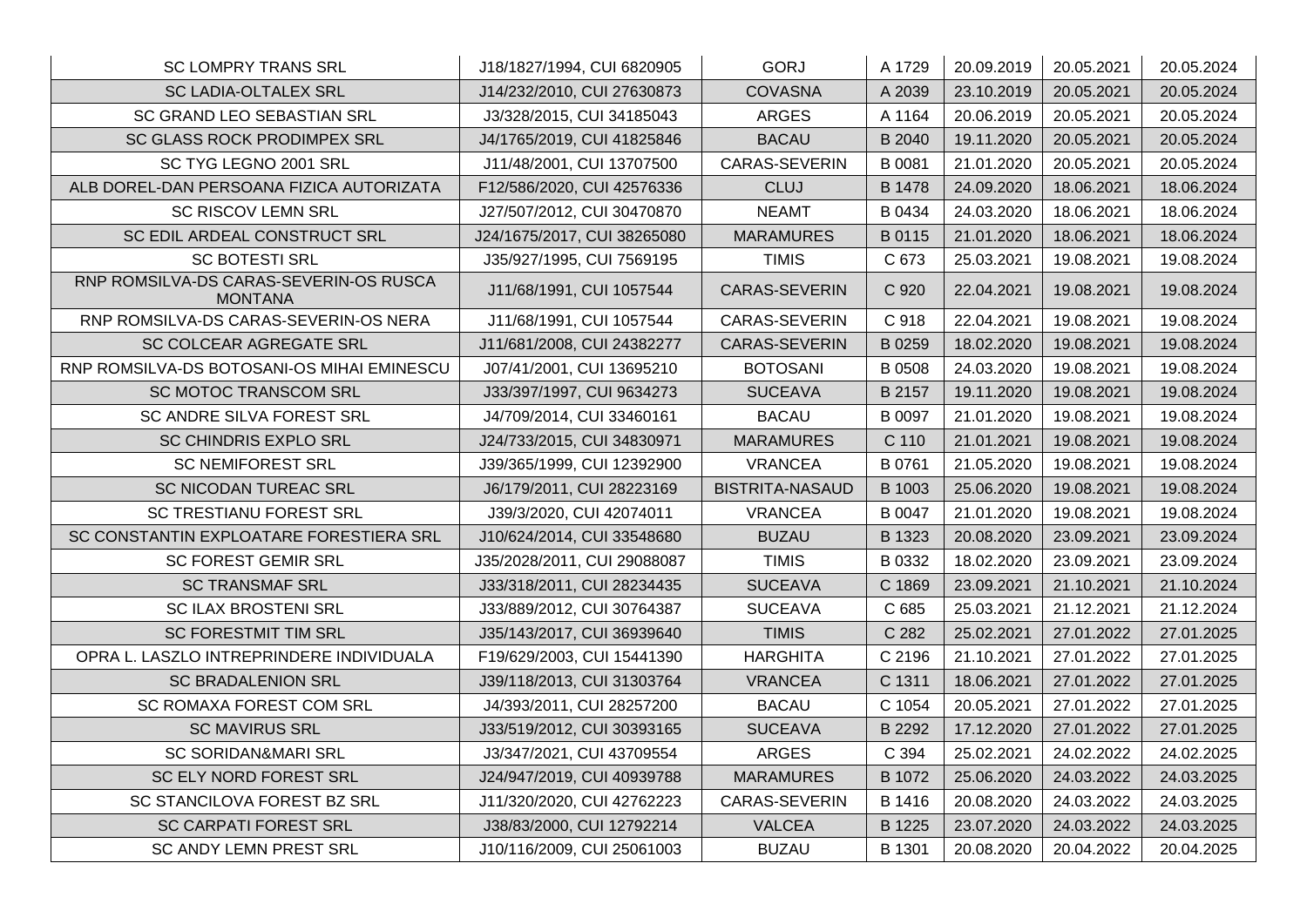| <b>SC LOMPRY TRANS SRL</b>                               | J18/1827/1994, CUI 6820905  | <b>GORJ</b>            | A 1729 | 20.09.2019 | 20.05.2021 | 20.05.2024 |
|----------------------------------------------------------|-----------------------------|------------------------|--------|------------|------------|------------|
| <b>SC LADIA-OLTALEX SRL</b>                              | J14/232/2010, CUI 27630873  | <b>COVASNA</b>         | A 2039 | 23.10.2019 | 20.05.2021 | 20.05.2024 |
| SC GRAND LEO SEBASTIAN SRL                               | J3/328/2015, CUI 34185043   | <b>ARGES</b>           | A 1164 | 20.06.2019 | 20.05.2021 | 20.05.2024 |
| SC GLASS ROCK PRODIMPEX SRL                              | J4/1765/2019, CUI 41825846  | <b>BACAU</b>           | B 2040 | 19.11.2020 | 20.05.2021 | 20.05.2024 |
| SC TYG LEGNO 2001 SRL                                    | J11/48/2001, CUI 13707500   | CARAS-SEVERIN          | B 0081 | 21.01.2020 | 20.05.2021 | 20.05.2024 |
| ALB DOREL-DAN PERSOANA FIZICA AUTORIZATA                 | F12/586/2020, CUI 42576336  | <b>CLUJ</b>            | B 1478 | 24.09.2020 | 18.06.2021 | 18.06.2024 |
| <b>SC RISCOV LEMN SRL</b>                                | J27/507/2012, CUI 30470870  | <b>NEAMT</b>           | B 0434 | 24.03.2020 | 18.06.2021 | 18.06.2024 |
| SC EDIL ARDEAL CONSTRUCT SRL                             | J24/1675/2017, CUI 38265080 | <b>MARAMURES</b>       | B 0115 | 21.01.2020 | 18.06.2021 | 18.06.2024 |
| <b>SC BOTESTI SRL</b>                                    | J35/927/1995, CUI 7569195   | <b>TIMIS</b>           | C 673  | 25.03.2021 | 19.08.2021 | 19.08.2024 |
| RNP ROMSILVA-DS CARAS-SEVERIN-OS RUSCA<br><b>MONTANA</b> | J11/68/1991, CUI 1057544    | CARAS-SEVERIN          | C 920  | 22.04.2021 | 19.08.2021 | 19.08.2024 |
| RNP ROMSILVA-DS CARAS-SEVERIN-OS NERA                    | J11/68/1991, CUI 1057544    | CARAS-SEVERIN          | C 918  | 22.04.2021 | 19.08.2021 | 19.08.2024 |
| SC COLCEAR AGREGATE SRL                                  | J11/681/2008, CUI 24382277  | <b>CARAS-SEVERIN</b>   | B 0259 | 18.02.2020 | 19.08.2021 | 19.08.2024 |
| RNP ROMSILVA-DS BOTOSANI-OS MIHAI EMINESCU               | J07/41/2001, CUI 13695210   | <b>BOTOSANI</b>        | B 0508 | 24.03.2020 | 19.08.2021 | 19.08.2024 |
| SC MOTOC TRANSCOM SRL                                    | J33/397/1997, CUI 9634273   | <b>SUCEAVA</b>         | B 2157 | 19.11.2020 | 19.08.2021 | 19.08.2024 |
| SC ANDRE SILVA FOREST SRL                                | J4/709/2014, CUI 33460161   | <b>BACAU</b>           | B 0097 | 21.01.2020 | 19.08.2021 | 19.08.2024 |
| SC CHINDRIS EXPLO SRL                                    | J24/733/2015, CUI 34830971  | <b>MARAMURES</b>       | C 110  | 21.01.2021 | 19.08.2021 | 19.08.2024 |
| <b>SC NEMIFOREST SRL</b>                                 | J39/365/1999, CUI 12392900  | <b>VRANCEA</b>         | B 0761 | 21.05.2020 | 19.08.2021 | 19.08.2024 |
| <b>SC NICODAN TUREAC SRL</b>                             | J6/179/2011, CUI 28223169   | <b>BISTRITA-NASAUD</b> | B 1003 | 25.06.2020 | 19.08.2021 | 19.08.2024 |
| SC TRESTIANU FOREST SRL                                  | J39/3/2020, CUI 42074011    | <b>VRANCEA</b>         | B 0047 | 21.01.2020 | 19.08.2021 | 19.08.2024 |
| SC CONSTANTIN EXPLOATARE FORESTIERA SRL                  | J10/624/2014, CUI 33548680  | <b>BUZAU</b>           | B 1323 | 20.08.2020 | 23.09.2021 | 23.09.2024 |
| <b>SC FOREST GEMIR SRL</b>                               | J35/2028/2011, CUI 29088087 | <b>TIMIS</b>           | B 0332 | 18.02.2020 | 23.09.2021 | 23.09.2024 |
| <b>SC TRANSMAF SRL</b>                                   | J33/318/2011, CUI 28234435  | <b>SUCEAVA</b>         | C 1869 | 23.09.2021 | 21.10.2021 | 21.10.2024 |
| <b>SC ILAX BROSTENI SRL</b>                              | J33/889/2012, CUI 30764387  | <b>SUCEAVA</b>         | C 685  | 25.03.2021 | 21.12.2021 | 21.12.2024 |
| <b>SC FORESTMIT TIM SRL</b>                              | J35/143/2017, CUI 36939640  | <b>TIMIS</b>           | C 282  | 25.02.2021 | 27.01.2022 | 27.01.2025 |
| OPRA L. LASZLO INTREPRINDERE INDIVIDUALA                 | F19/629/2003, CUI 15441390  | <b>HARGHITA</b>        | C 2196 | 21.10.2021 | 27.01.2022 | 27.01.2025 |
| <b>SC BRADALENION SRL</b>                                | J39/118/2013, CUI 31303764  | <b>VRANCEA</b>         | C 1311 | 18.06.2021 | 27.01.2022 | 27.01.2025 |
| SC ROMAXA FOREST COM SRL                                 | J4/393/2011, CUI 28257200   | <b>BACAU</b>           | C 1054 | 20.05.2021 | 27.01.2022 | 27.01.2025 |
| <b>SC MAVIRUS SRL</b>                                    | J33/519/2012, CUI 30393165  | <b>SUCEAVA</b>         | B 2292 | 17.12.2020 | 27.01.2022 | 27.01.2025 |
| <b>SC SORIDAN&amp;MARI SRL</b>                           | J3/347/2021, CUI 43709554   | <b>ARGES</b>           | C 394  | 25.02.2021 | 24.02.2022 | 24.02.2025 |
| SC ELY NORD FOREST SRL                                   | J24/947/2019, CUI 40939788  | <b>MARAMURES</b>       | B 1072 | 25.06.2020 | 24.03.2022 | 24.03.2025 |
| SC STANCILOVA FOREST BZ SRL                              | J11/320/2020, CUI 42762223  | CARAS-SEVERIN          | B 1416 | 20.08.2020 | 24.03.2022 | 24.03.2025 |
| <b>SC CARPATI FOREST SRL</b>                             | J38/83/2000, CUI 12792214   | <b>VALCEA</b>          | B 1225 | 23.07.2020 | 24.03.2022 | 24.03.2025 |
| <b>SC ANDY LEMN PREST SRL</b>                            | J10/116/2009, CUI 25061003  | <b>BUZAU</b>           | B 1301 | 20.08.2020 | 20.04.2022 | 20.04.2025 |